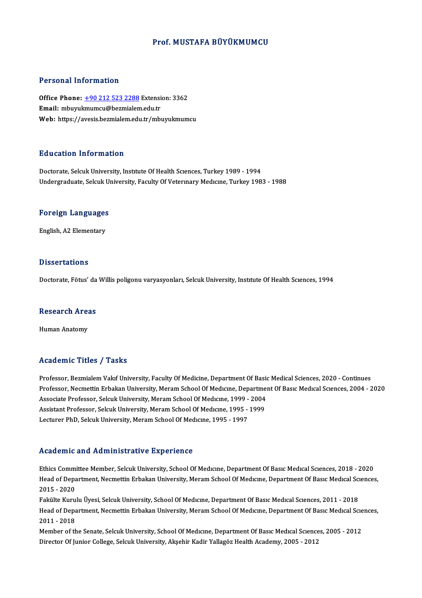#### Prof.MUSTAFA BÜYÜKMUMCU

#### Personal Information

Personal Information<br>Office Phone: <u>+90 212 523 2288</u> Extension: 3362<br>Email: mbunumumcu@bermialem.edu.tr Personal Information<br>Office Phone: <u>+90 212 523 2288</u> Extensi<br>Email: mbuyu[kmumcu@bezmialem](tel:+90 212 523 2288).edu.tr Email: mbuyukmumcu@bezmialem.edu.tr<br>Web: https://avesis.bezmialem.edu.tr/mbuyukmumcu

#### Education Information

Doctorate, Selcuk University, Institute Of Health Sciences, Turkey 1989 - 1994 Undergraduate, Selcuk University, Faculty Of Veterinary Medicine, Turkey 1983 - 1988

# <sub>ondergraduate, selcuk ol<br>Foreign Languages</sub> F<mark>oreign Language</mark>s<br>English, A2 Elementary

English, A2 Elementary<br>Dissertations

Doctorate, Fötus' da Willis poligonu varyasyonları, Selcuk University, Institute Of Health Sciences, 1994

# Doctorate, rotus da<br>Research Areas <mark>Research Are</mark>a<br>Human Anatomy

# Human Anatomy<br>Academic Titles / Tasks

Professor, Bezmialem Vakıf University, Faculty Of Medicine, Department Of Basic Medical Sciences, 2020 - Continues Professor, Necmettin Erbakan University, Meram School Of Medicine, Department Of Basic Medical Sciences, 2004 - 2020 Professor, Bezmialem Vakıf University, Faculty Of Medicine, Department Of Basic<br>Professor, Necmettin Erbakan University, Meram School Of Medicine, Departmen<br>Associate Professor, Selcuk University, Meram School Of Medicine, Professor, Necmettin Erbakan University, Meram School Of Medicine, Departme<br>Associate Professor, Selcuk University, Meram School Of Medicine, 1999 - 2004<br>Assistant Professor, Selcuk University, Meram School Of Medicine, 19 Associate Professor, Selcuk University, Meram School Of Medıcıne, 1999 -<br>Assistant Professor, Selcuk University, Meram School Of Medıcıne, 1995 -<br>Lecturer PhD, Selcuk University, Meram School Of Medıcıne, 1995 - 1997 Lecturer PhD, Selcuk University, Meram School Of Medicine, 1995 - 1997<br>Academic and Administrative Experience

Academic and Administrative Experience<br>Ethics Committee Member, Selcuk University, School Of Medıcıne, Department Of Basıc Medıcal Scıences, 2018 - 2020<br>Heed of Department Nesmettin Erbekan University, Meram School Of Medi Fredd office and Trammineerative Enpertence<br>Ethics Committee Member, Selcuk University, School Of Medıcıne, Department Of Basıc Medıcal Sciences, 2018 - 2020<br>Head of Department, Necmettin Erbakan University, Meram School O Ethics Commi<br>Head of Depa<br>2015 - 2020<br>Felsika Kuru Head of Department, Necmettin Erbakan University, Meram School Of Medıcıne, Department Of Basıc Medıcal Sci<br>2015 - 2020<br>Fakülte Kurulu Üyesi, Selcuk University, School Of Medıcıne, Department Of Basıc Medıcal Sciences, 201

2015 - 2020<br>Fakülte Kurulu Üyesi, Selcuk University, School Of Medıcıne, Department Of Basıc Medıcal Scıences, 2011 - 2018<br>Head of Department, Necmettin Erbakan University, Meram School Of Medıcıne, Department Of Basıc Med Fakülte Kurulu Üyesi, Selcuk University, School Of Medicine, Department Of Basic Medical Sciences, 2011 - 2018 Head of Department, Necmettin Erbakan University, Meram School Of Medicine, Department Of Basic Medical Scie<br>2011 - 2018<br>Member of the Senate, Selcuk University, School Of Medicine, Department Of Basic Medical Sciences, 20

2011 - 2018<br>Member of the Senate, Selcuk University, School Of Medıcıne, Department Of Basıc Medıcal Scıence<br>Director Of Junior College, Selcuk University, Akşehir Kadir Yallagöz Health Academy, 2005 - 2012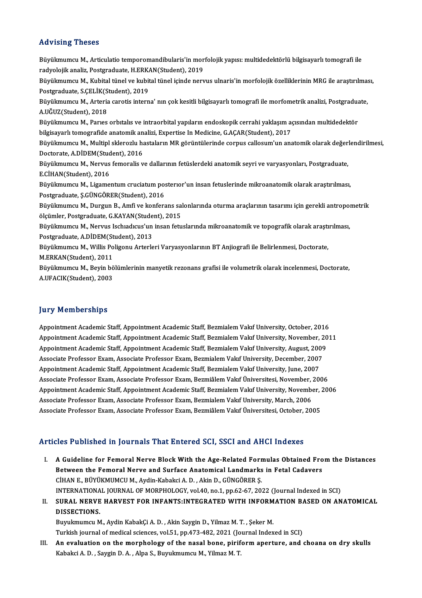#### Advising Theses

Advising Theses<br>Büyükmumcu M., Articulatio temporomandibularis'in morfolojik yapısı: multidedektörlü bilgisayarlı tomografi ile<br>radvolojik apaliz, Pestsradusta H.FPKAN(Student), 2019. rady romgy riceses<br>Büyükmumcu M., Articulatio temporomandibularis'in mor<br>radyolojik analiz, Postgraduate, H.ERKAN(Student), 2019<br>Büyülmumcu M., Kubital tünel ve kubital tünel isinde new Büyükmumcu M., Articulatio temporomandibularis'in morfolojik yapısı: multidedektörlü bilgisayarlı tomografi ile<br>radyolojik analiz, Postgraduate, H.ERKAN(Student), 2019<br>Büyükmumcu M., Kubital tünel ve kubital tünel içinde n radyolojik analiz, Postgraduate, H.ERK.<br>Büyükmumcu M., Kubital tünel ve kubit<br>Postgraduate, S.ÇELİK(Student), 2019<br>Büyülmumcu M. Artoria canatis intarı Büyükmumcu M., Kubital tünel ve kubital tünel içinde nervus ulnaris'in morfolojik özelliklerinin MRG ile araştırılma:<br>Postgraduate, S.ÇELİK(Student), 2019<br>Büyükmumcu M., Arteria carotis interna' nın çok kesitli bilgisayarl Postgraduate, S.ÇELİK(Student), 2019<br>Büyükmumcu M., Arteria carotis interna' nın çok kesitli bilgisayarlı tomografi ile morfometrik analizi, Postgraduate,<br>A.UĞUZ(Student), 2018 Büyükmumcu M., Arteria carotis interna' nın çok kesitli bilgisayarlı tomografi ile morfometrik analizi, Postgradua<br>A.UĞUZ(Student), 2018<br>Büyükmumcu M., Parıes orbıtalıs ve intraorbital yapıların endoskopik cerrahi yaklaşım A.UĞUZ(Student), 2018<br>Büyükmumcu M., Parıes orbitalis ve intraorbital yapıların endoskopik cerrahi yaklaşım aç<br>bilgisayarlı tomografide anatomik analizi, Expertise In Medicine, G.AÇAR(Student), 2017<br>Büyülmumgu M. Multipl e Büyükmumcu M., Parıes orbitalis ve intraorbital yapıların endoskopik cerrahi yaklaşım açısından multidedektör<br>bilgisayarlı tomografide anatomik analizi, Expertise In Medicine, G.AÇAR(Student), 2017<br>Büyükmumcu M., Multipl s bilgisayarlı tomografide anatomik an<br>Büyükmumcu M., Multipl sklerozlu ha<br>Doctorate, A.DİDEM(Student), 2016<br>Büyükmumcu M. Noruus fomoralis v Büyükmumcu M., Multipl sklerozlu hastaların MR görüntülerinde corpus callosum'un anatomik olarak değeri<br>Doctorate, A.DİDEM(Student), 2016<br>Büyükmumcu M., Nervus femoralis ve dallarının fetüslerdeki anatomik seyri ve varyasy Doctorate, A.DİDEM(Student), 2016<br>Büyükmumcu M., Nervus femoralis ve dallarının fetüslerdeki anatomik seyri ve varyasyonları, Postgraduate,<br>E.CİHAN(Student), 2016 Büyükmumcu M., Nervus femoralis ve dallarının fetüslerdeki anatomik seyri ve varyasyonları, Postgraduate,<br>E.CİHAN(Student), 2016<br>Büyükmumcu M., Ligamentum cruciatum posterıor'un insan fetuslerinde mikroanatomik olarak araş E.CİHAN(Student), 2016<br>Büyükmumcu M., Ligamentum cruciatum pos<br>Postgraduate, Ş.GÜNGÖRER(Student), 2016<br>Büyülmumcu M. Durgun B. Amfi ve konfore Büyükmumcu M., Ligamentum cruciatum posterıor'un insan fetuslerinde mikroanatomik olarak araştırılması,<br>Postgraduate, Ş.GÜNGÖRER(Student), 2016<br>Büyükmumcu M., Durgun B., Amfi ve konferans salonlarında oturma araçlarının ta Postgraduate, Ş.GÜNGÖRER(Student), 2016<br>Büyükmumcu M., Durgun B., Amfi ve konferans sa<br>ölçümler, Postgraduate, G.KAYAN(Student), 2015<br>Büyükmumcu M. Narvus Isebradıcus'un insan fatu Büyükmumcu M., Durgun B., Amfi ve konferans salonlarında oturma araçlarının tasarımı için gerekli antropol<br>ölçümler, Postgraduate, G.KAYAN(Student), 2015<br>Büyükmumcu M., Nervus Ischıadıcus'un insan fetuslarında mikroanatomi ölçümler, Postgraduate, G.KAYAN(Stude<br>Büyükmumcu M., Nervus Ischiadicus'un<br>Postgraduate, A.DİDEM(Student), 2013<br>Büyülmumcu M. Willis Polizonu Arterle Büyükmumcu M., Nervus Ischiadicus'un insan fetuslarında mikroanatomik ve topografik olarak araştırılması,<br>Postgraduate, A.DİDEM(Student), 2013<br>Büyükmumcu M., Willis Poligonu Arterleri Varyasyonlarının BT Anjiografi ile Bel Postgraduate, A.DİDEM(St<br>Büyükmumcu M., Willis Po<br>M.ERKAN(Student), 2011<br>Büyülmumcu M. Boyin bö Büyükmumcu M., Willis Poligonu Arterleri Varyasyonlarının BT Anjiografi ile Belirlenmesi, Doctorate,<br>M.ERKAN(Student), 2011<br>Büyükmumcu M., Beyin bölümlerinin manyetik rezonans grafisi ile volumetrik olarak incelenmesi, Doc M.ERKAN(Student), 2011<br>Büyükmumcu M., Beyin bö<br>A.UFACIK(Student), 2003 A.UFACIK(Student), 2003<br>Jury Memberships

Appointment Academic Staff, Appointment Academic Staff, Bezmialem Vakıf University, October, 2016 Appointment Academic Staff, Appointment Academic Staff, Bezmialem Vakıf University, October, 2016<br>Appointment Academic Staff, Appointment Academic Staff, Bezmialem Vakıf University, November, 2011<br>Appointment Academic Staf Appointment Academic Staff, Appointment Academic Staff, Bezmialem Vakıf University, October, 2016<br>Appointment Academic Staff, Appointment Academic Staff, Bezmialem Vakıf University, November, 20<br>Appointment Academic Staff, Appointment Academic Staff, Appointment Academic Staff, Bezmialem Vakıf University, November, 2<br>Appointment Academic Staff, Appointment Academic Staff, Bezmialem Vakıf University, August, 2009<br>Associate Professor Exam, Ass Appointment Academic Staff, Appointment Academic Staff, Bezmialem Vakıf University, August, 200<br>Associate Professor Exam, Associate Professor Exam, Bezmialem Vakıf University, December, 2007<br>Appointment Academic Staff, App Associate Professor Exam, Associate Professor Exam, Bezmialem Vakıf University, December, 2007<br>Appointment Academic Staff, Appointment Academic Staff, Bezmialem Vakıf University, June, 2007<br>Associate Professor Exam, Associ Appointment Academic Staff, Appointment Academic Staff, Bezmialem Vakıf University, June, 2007<br>Associate Professor Exam, Associate Professor Exam, Bezmiâlem Vakıf Üniversitesi, November, 2006<br>Appointment Academic Staff, Ap Associate Professor Exam, Associate Professor Exam, Bezmiâlem Vakıf Üniversitesi, November, Appointment Academic Staff, Appointment Academic Staff, Bezmialem Vakıf University, November, Appointment Academic Staff, Appointm Appointment Academic Staff, Appointment Academic Staff, Bezmialem Vakıf University, November, .<br>Associate Professor Exam, Associate Professor Exam, Bezmialem Vakıf University, March, 2006<br>Associate Professor Exam, Associat Associate Professor Exam, Associate Professor Exam, Bezmiâlem Vakıf Üniversitesi, October, 2005<br>Articles Published in Journals That Entered SCI, SSCI and AHCI Indexes

I. A Guideline for Femoral Nerve BlockWith the Age-Related Formulas Obtained Fromthe Distances Between the Femoral Nerve Block With the Age-Related Formulas Obtained Fro<br>Between the Femoral Nerve and Surface Anatomical Landmarks in Fetal Cadavers<br>CUANE PUVUVMUMCUM Ardin Kabaksi A.D., Akin D. CÜNCÖPER S A Guideline for Femoral Nerve Block With the Age-Related Form<br>Between the Femoral Nerve and Surface Anatomical Landmarks<br>CİHAN E., BÜYÜKMUMCU M., Aydin-Kabakci A. D. , Akin D., GÜNGÖRER Ş.<br>INTERNATIONAL JOURNAL OE MORRHOLO CİHAN E., BÜYÜKMUMCU M., Aydin-Kabakci A. D. , Akin D., GÜNGÖRER Ş.<br>INTERNATIONAL JOURNAL OF MORPHOLOGY, vol.40, no.1, pp.62-67, 2022 (Journal Indexed in SCI) CIHAN E., BÜYÜKMUMCU M., Aydin-Kabakci A. D. , Akin D., GÜNGÖRER Ş.<br>INTERNATIONAL JOURNAL OF MORPHOLOGY, vol.40, no.1, pp.62-67, 2022 (Journal Indexed in SCI)<br>II. SURAL NERVE HARVEST FOR INFANTS:INTEGRATED WITH INFORMATION

# INTERNATIONA<br>SURAL NERVE<br>DISSECTIONS. SURAL NERVE HARVEST FOR INFANTS:INTEGRATED WITH INFORM<br>DISSECTIONS.<br>Buyukmumcu M., Aydin KabakÇi A. D. , Akin Saygin D., Yilmaz M. T. , Şeker M.<br>Turkish journal of modisel sciences, vel 51, nn 473,482,2021 (Journal Indox

DISSECTIONS.<br>Buyukmumcu M., Aydin KabakÇi A. D. , Akin Saygin D., Yilmaz M. T. , Şeker M.<br>Turkish journal of medical sciences, vol.51, pp.473-482, 2021 (Journal Indexed in SCI)

Buyukmumcu M., Aydin KabakÇi A. D. , Akin Saygin D., Yilmaz M. T. , Şeker M.<br>Turkish journal of medical sciences, vol.51, pp.473-482, 2021 (Journal Indexed in SCI)<br>III. An evaluation on the morphology of the nasal bone, pi Turkish journal of medical sciences, vol.51, pp.473-482, 2021 (Jo<br><mark>An evaluation on the morphology of the nasal bone, pirif</mark><br>Kabakci A. D. , Saygin D. A. , Alpa S., Buyukmumcu M., Yilmaz M. T.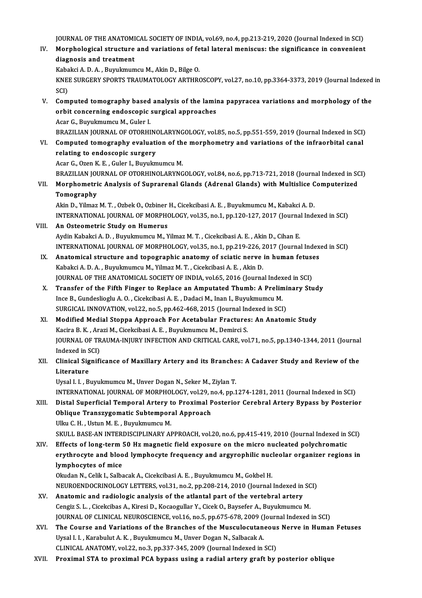JOURNAL OF THE ANATOMICAL SOCIETY OF INDIA, vol.69, no.4, pp.213-219, 2020 (Journal Indexed in SCI)<br>Marphelagical structure and variations of fotal lateral menisque: the significance in convenient

JOURNAL OF THE ANATOMICAL SOCIETY OF INDIA, vol.69, no.4, pp.213-219, 2020 (Journal Indexed in SCI)<br>IV. Morphological structure and variations of fetal lateral meniscus: the significance in convenient<br>diagnosis and trastme **JOURNAL OF THE ANATOMI<br>Morphological structure<br>diagnosis and treatment** IV. Morphological structure and variations of fetal lateral meniscus: the significance in convenient<br>diagnosis and treatment<br>Kabakci A. D. A. , Buyukmumcu M., Akin D., Bilge O.

diagnosis and treatment<br>Kabakci A. D. A. , Buyukmumcu M., Akin D., Bilge O.<br>KNEE SURGERY SPORTS TRAUMATOLOGY ARTHROSCOPY, vol.27, no.10, pp.3364-3373, 2019 (Journal Indexed in<br>SCD Kaba<br>KNE<br>SCI)<br>Com KNEE SURGERY SPORTS TRAUMATOLOGY ARTHROSCOPY, vol.27, no.10, pp.3364-3373, 2019 (Journal Indexed<br>SCI)<br>V. Computed tomography based analysis of the lamina papyracea variations and morphology of the<br>orbit concerning ondoscop

SCI)<br>Computed tomography based analysis of the lamin<br>orbit concerning endoscopic surgical approaches<br>Acar C. Bumkmumqu M. Culor I Computed tomography based<br>orbit concerning endoscopic<br>Acar G., Buyukmumcu M., Guler I.<br>PRAZILIAN JOURNAL OF OTOPHI orbit concerning endoscopic surgical approaches<br>Acar G., Buyukmumcu M., Guler I.<br>BRAZILIAN JOURNAL OF OTORHINOLARYNGOLOGY, vol.85, no.5, pp.551-559, 2019 (Journal Indexed in SCI)<br>Computed tomography evoluction of the morph Acar G., Buyukmumcu M., Guler I.<br>BRAZILIAN JOURNAL OF OTORHINOLARYNGOLOGY, vol.85, no.5, pp.551-559, 2019 (Journal Indexed in SCI)<br>VI. Computed tomography evaluation of the morphometry and variations of the infraorbital ca

BRAZILIAN JOURNAL OF OTORHING<br>Computed tomography evaluati<br>relating to endoscopic surgery Computed tomography evaluation of th<br>relating to endoscopic surgery<br>Acar G., Ozen K. E. , Guler I., Buyukmumcu M.<br>PRAZILIAN JOURNAL OF OTOBUJNOLARYNC re<mark>lating to endoscopic surgery</mark><br>Acar G., Ozen K. E. , Guler I., Buyukmumcu M.<br>BRAZILIAN JOURNAL OF OTORHINOLARYNGOLOGY, vol.84, no.6, pp.713-721, 2018 (Journal Indexed in SCI)<br>Marphametris Analysis of Sunrarenal Glands (A

Acar G., Ozen K. E. , Guler I., Buyukmumcu M.<br>BRAZILIAN JOURNAL OF OTORHINOLARYNGOLOGY, vol.84, no.6, pp.713-721, 2018 (Journal Indexed in SC<br>VII. Morphometric Analysis of Suprarenal Glands (Adrenal Glands) with Multislice BRAZILIAN JOU<br>Morphometri<br>Tomography<br>Alin D. Vilmer VII. Morphometric Analysis of Suprarenal Glands (Adrenal Glands) with Multislice Computerized<br>Tomography<br>Akin D., Yilmaz M. T. , Ozbek O., Ozbiner H., Cicekcibasi A. E. , Buyukmumcu M., Kabakci A. D.

INTERNATIONAL JOURNAL OF MORPHOLOGY, vol.35, no.1, pp.120-127, 2017 (Journal Indexed in SCI)

### VIII. An Osteometric Study on Humerus

Aydin Kabakci A.D., Buyukmumcu M., Yilmaz M.T., Cicekcibasi A.E., Akin D., Cihan E. An Osteometric Study on Humerus<br>Aydin Kabakci A. D. , Buyukmumcu M., Yilmaz M. T. , Cicekcibasi A. E. , Akin D., Cihan E.<br>INTERNATIONAL JOURNAL OF MORPHOLOGY, vol.35, no.1, pp.219-226, 2017 (Journal Indexed in SCI)<br>Anatomi Aydin Kabakci A. D., Buyukmumcu M., Yilmaz M. T., Cicekcibasi A. E., Akin D., Cihan E.<br>INTERNATIONAL JOURNAL OF MORPHOLOGY, vol.35, no.1, pp.219-226, 2017 (Journal Index<br>IX. Anatomical structure and topographic anatomy of

- IX. Anatomical structure and topographic anatomy of sciatic nerve in human fetuses<br>Kabakci A. D. A., Buyukmumcu M., Yilmaz M. T., Cicekcibasi A. E., Akin D. Anatomical structure and topographic anatomy of sciatic nerve in human fetuse<br>Kabakci A. D. A. , Buyukmumcu M., Yilmaz M. T. , Cicekcibasi A. E. , Akin D.<br>JOURNAL OF THE ANATOMICAL SOCIETY OF INDIA, vol.65, 2016 (Journal I
- X. Transfer of the Fifth Finger to Replace an Amputated Thumb: A Preliminary Study JOURNAL OF THE ANATOMICAL SOCIETY OF INDIA, vol.65, 2016 (Journal Index<br>Transfer of the Fifth Finger to Replace an Amputated Thumb: A Prelin<br>Ince B., Gundeslioglu A. O., Cicekcibasi A. E., Dadaci M., Inan I., Buyukmumcu M. Ince B., Gundeslioglu A. O., Cicekcibasi A. E., Dadaci M., Inan I., Buyukmumcu M.<br>SURGICAL INNOVATION, vol.22, no.5, pp.462-468, 2015 (Journal Indexed in SCI)
- XI. Modified Medial Stoppa Approach For Acetabular Fractures: An Anatomic Study SURGICAL INNOVATION, vol.22, no.5, pp.462-468, 2015 (Journal In<br>Modified Medial Stoppa Approach For Acetabular Fracture:<br>Kacira B. K. , Arazi M., Cicekcibasi A. E. , Buyukmumcu M., Demirci S.<br>JOUPMAL OF TRAUMA INUIPY INFEC JOURNAL OF TRAUMA-INJURY INFECTION AND CRITICAL CARE, vol.71, no.5, pp.1340-1344, 2011 (Journal Indexed in SCI) Kacira B. K. , Ara<br>JOURNAL OF TR<br>Indexed in SCI)<br>Clinical Signifi JOURNAL OF TRAUMA-INJURY INFECTION AND CRITICAL CARE, vol.71, no.5, pp.1340-1344, 2011 (Journal Indexed in SCI)<br>XII. Clinical Significance of Maxillary Artery and its Branches: A Cadaver Study and Review of the<br>Literature

# Indexed in S<br>Clinical Sig<br>Literature<br>Urgel L.L. P. Clinical Significance of Maxillary Artery and its Branche<br>Literature<br>Uysal I. I. , Buyukmumcu M., Unver Dogan N., Seker M., Ziylan T.<br>INTERNATIONAL JOURNAL OF MORRHOLOCY, vel 39, ne 4, nn 1

Literature<br>Uysal I. I. , Buyukmumcu M., Unver Dogan N., Seker M., Ziylan T.<br>INTERNATIONAL JOURNAL OF MORPHOLOGY, vol.29, no.4, pp.1274-1281, 2011 (Journal Indexed in SCI)<br>Distal Superfisial Termostal Antony to Provimal Pos

## Uysal I. I. , Buyukmumcu M., Unver Dogan N., Seker M., Ziylan T.<br>INTERNATIONAL JOURNAL OF MORPHOLOGY, vol.29, no.4, pp.1274-1281, 2011 (Journal Indexed in SCI)<br>XIII. Distal Superficial Temporal Artery to Proximal Posterior INTERNATIONAL JOURNAL OF MORPHOLOGY, vol.29, r<br>Distal Superficial Temporal Artery to Proximal P<br>Oblique Transzygomatic Subtemporal Approach<br>Illin C. H., Ustun M. E., Puvulmumgu M Ulku C.H., Ustun M.E., Buyukmumcu M. Oblique Transzygomatic Subtemporal Approach<br>Ulku C. H. , Ustun M. E. , Buyukmumcu M.<br>SKULL BASE-AN INTERDISCIPLINARY APPROACH, vol.20, no.6, pp.415-419, 2010 (Journal Indexed in SCI)<br>Effects of lang term 5.0 Hg magnetis fi Ulku C. H., Ustun M. E., Buyukmumcu M.<br>SKULL BASE-AN INTERDISCIPLINARY APPROACH, vol.20, no.6, pp.415-419, 2010 (Journal Indexed in SKULL BASE-AN INTERDISCIPLINARY APPROACH, vol.20, no.6, pp.415-419, 2010 (Journal Indexed

SKULL BASE-AN INTERDISCIPLINARY APPROACH, vol.20, no.6, pp.415-419, 2010 (Journal Indexed in SCI)<br>Effects of long-term 50 Hz magnetic field exposure on the micro nucleated polychromatic<br>erythrocyte and blood lymphocyte fre Effects of long-term !<br>erythrocyte and bloo<br>lymphocytes of mice erythrocyte and blood lymphocyte frequency and argyrophilic nuc<br>lymphocytes of mice<br>Okudan N., Celik I., Salbacak A., Cicekcibasi A. E. , Buyukmumcu M., Gokbel H.<br>NEUPOENDOCPINOLOCY LETTEPS vol 21, no 2, np 209, 214, 2010 lymphocytes of mice<br>Okudan N., Celik I., Salbacak A., Cicekcibasi A. E. , Buyukmumcu M., Gokbel H.<br>NEUROENDOCRINOLOGY LETTERS, vol.31, no.2, pp.208-214, 2010 (Journal Indexed in SCI)<br>Anatomis and radiologie analysis of the

- Okudan N., Celik I., Salbacak A., Cicekcibasi A. E. , Buyukmumcu M., Gokbel H.<br>NEUROENDOCRINOLOGY LETTERS, vol.31, no.2, pp.208-214, 2010 (Journal Indexed in SC<br>XV. Anatomic and radiologic analysis of the atlantal part of NEUROENDOCRINOLOGY LETTERS, vol.31, no.2, pp.208-214, 2010 (Journal Indexed in SC<br>Anatomic and radiologic analysis of the atlantal part of the vertebral artery<br>Cengiz S. L. , Cicekcibas A., Kiresi D., Kocaogullar Y., Cicek Anatomic and radiologic analysis of the atlantal part of the vertebral artery<br>Cengiz S. L. , Cicekcibas A., Kiresi D., Kocaogullar Y., Cicek O., Baysefer A., Buyukmumcu M.<br>JOURNAL OF CLINICAL NEUROSCIENCE, vol.16, no.5, pp Cengiz S. L. , Cicekcibas A., Kiresi D., Kocaogullar Y., Cicek O., Baysefer A., Buyukmumcu M.<br>JOURNAL OF CLINICAL NEUROSCIENCE, vol.16, no.5, pp.675-678, 2009 (Journal Indexed in SCI)<br>XVI. The Course and Variations of the
- JOURNAL OF CLINICAL NEUROSCIENCE, vol.16, no.5, pp.675-678, 2009 ()<br>The Course and Variations of the Branches of the Musculocutan<br>Uysal I. I. , Karabulut A. K. , Buyukmumcu M., Unver Dogan N., Salbacak A.<br>CLINICAL ANATOMY XVI. The Course and Variations of the Branches of the Musculocutaneous Nerve in Human Fetuses<br>Uysal I. I. , Karabulut A. K. , Buyukmumcu M., Unver Dogan N., Salbacak A.<br>CLINICAL ANATOMY, vol.22, no.3, pp.337-345, 2009 (Jou
- XVII. Proximal STA to proximal PCA bypass using a radial artery graft by posterior oblique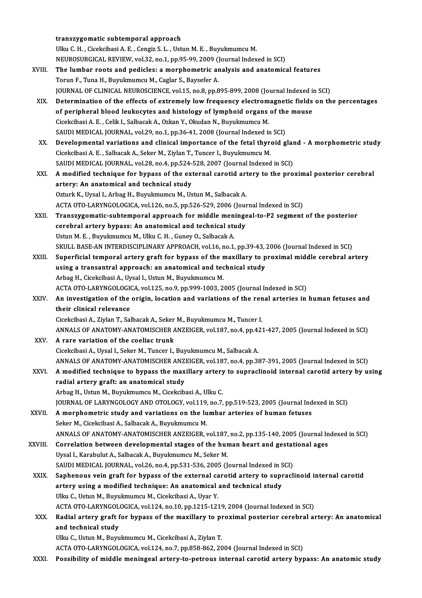|         | transzygomatic subtemporal approach                                                                                                                                         |
|---------|-----------------------------------------------------------------------------------------------------------------------------------------------------------------------------|
|         | Ulku C. H., Cicekcibasi A. E., Cengiz S. L., Ustun M. E., Buyukmumcu M.                                                                                                     |
|         | NEUROSURGICAL REVIEW, vol.32, no.1, pp.95-99, 2009 (Journal Indexed in SCI)                                                                                                 |
| XVIII.  | The lumbar roots and pedicles: a morphometric analysis and anatomical features                                                                                              |
|         | Torun F., Tuna H., Buyukmumcu M., Caglar S., Baysefer A.                                                                                                                    |
|         | JOURNAL OF CLINICAL NEUROSCIENCE, vol.15, no.8, pp.895-899, 2008 (Journal Indexed in SCI)                                                                                   |
| XIX.    | Determination of the effects of extremely low frequency electromagnetic fields on the percentages                                                                           |
|         | of peripheral blood leukocytes and histology of lymphoid organs of the mouse                                                                                                |
|         | Cicekcibasi A. E., Celik I., Salbacak A., Ozkan Y., Okudan N., Buyukmumcu M.                                                                                                |
|         | SAUDI MEDICAL JOURNAL, vol.29, no.1, pp.36-41, 2008 (Journal Indexed in SCI)                                                                                                |
| XX.     | Developmental variations and clinical importance of the fetal thyroid gland - A morphometric study                                                                          |
|         | Cicekcibasi A. E., Salbacak A., Seker M., Ziylan T., Tuncer I., Buyukmumcu M.                                                                                               |
|         | SAUDI MEDICAL JOURNAL, vol.28, no.4, pp.524-528, 2007 (Journal Indexed in SCI)                                                                                              |
| XXI.    | A modified technique for bypass of the external carotid artery to the proximal posterior cerebral                                                                           |
|         | artery: An anatomical and technical study                                                                                                                                   |
|         | Ozturk K., Uysal I., Arbag H., Buyukmumcu M., Ustun M., Salbacak A.                                                                                                         |
|         | ACTA OTO-LARYNGOLOGICA, vol.126, no.5, pp.526-529, 2006 (Journal Indexed in SCI)                                                                                            |
| XXII.   | Transzygomatic-subtemporal approach for middle meningeal-to-P2 segment of the posterior                                                                                     |
|         | cerebral artery bypass: An anatomical and technical study                                                                                                                   |
|         | Ustun M. E., Buyukmumcu M., Ulku C. H., Guney O., Salbacak A.                                                                                                               |
|         | SKULL BASE-AN INTERDISCIPLINARY APPROACH, vol.16, no.1, pp.39-43, 2006 (Journal Indexed in SCI)                                                                             |
| XXIII.  | Superficial temporal artery graft for bypass of the maxillary to proximal middle cerebral artery                                                                            |
|         | using a transantral approach: an anatomical and technical study                                                                                                             |
|         | Arbag H., Cicekcibasi A., Uysal I., Ustun M., Buyukmumcu M.                                                                                                                 |
|         | ACTA OTO-LARYNGOLOGICA, vol.125, no.9, pp.999-1003, 2005 (Journal Indexed in SCI)                                                                                           |
| XXIV.   | An investigation of the origin, location and variations of the renal arteries in human fetuses and                                                                          |
|         | their clinical relevance                                                                                                                                                    |
|         | Cicekcibasi A., Ziylan T., Salbacak A., Seker M., Buyukmumcu M., Tuncer I.                                                                                                  |
|         | ANNALS OF ANATOMY-ANATOMISCHER ANZEIGER, vol.187, no.4, pp.421-427, 2005 (Journal Indexed in SCI)                                                                           |
| XXV.    | A rare variation of the coeliac trunk                                                                                                                                       |
|         | Cicekcibasi A., Uysal I., Seker M., Tuncer I., Buyukmumcu M., Salbacak A.                                                                                                   |
|         | ANNALS OF ANATOMY-ANATOMISCHER ANZEIGER, vol.187, no.4, pp.387-391, 2005 (Journal Indexed in SCI)                                                                           |
| XXVI.   | A modified technique to bypass the maxillary artery to supraclinoid internal carotid artery by using                                                                        |
|         | radial artery graft: an anatomical study                                                                                                                                    |
|         | Arbag H., Ustun M., Buyukmumcu M., Cicekcibasi A., Ulku C.                                                                                                                  |
| XXVII.  | JOURNAL OF LARYNGOLOGY AND OTOLOGY, vol.119, no.7, pp.519-523, 2005 (Journal Indexed in SCI)<br>A morphometric study and variations on the lumbar arteries of human fetuses |
|         | Seker M., Cicekcibasi A., Salbacak A., Buyukmumcu M.                                                                                                                        |
|         | ANNALS OF ANATOMY-ANATOMISCHER ANZEIGER, vol.187, no.2, pp.135-140, 2005 (Journal Indexed in SCI)                                                                           |
| XXVIII. | Correlation between developmental stages of the human heart and gestational ages                                                                                            |
|         | Uysal I., Karabulut A., Salbacak A., Buyukmumcu M., Seker M.                                                                                                                |
|         | SAUDI MEDICAL JOURNAL, vol.26, no.4, pp.531-536, 2005 (Journal Indexed in SCI)                                                                                              |
| XXIX.   | Saphenous vein graft for bypass of the external carotid artery to supraclinoid internal carotid                                                                             |
|         | artery using a modified technique: An anatomical and technical study                                                                                                        |
|         | Ulku C., Ustun M., Buyukmumcu M., Cicekcibasi A., Uyar Y.                                                                                                                   |
|         | ACTA OTO-LARYNGOLOGICA, vol.124, no.10, pp.1215-1219, 2004 (Journal Indexed in SCI)                                                                                         |
| XXX.    | Radial artery graft for bypass of the maxillary to proximal posterior cerebral artery: An anatomical                                                                        |
|         | and technical study                                                                                                                                                         |
|         | Ulku C., Ustun M., Buyukmumcu M., Cicekcibasi A., Ziylan T.                                                                                                                 |
|         | ACTA OTO-LARYNGOLOGICA, vol.124, no.7, pp.858-862, 2004 (Journal Indexed in SCI)                                                                                            |
| XXXI.   | Possibility of middle meningeal artery-to-petrous internal carotid artery bypass: An anatomic study                                                                         |
|         |                                                                                                                                                                             |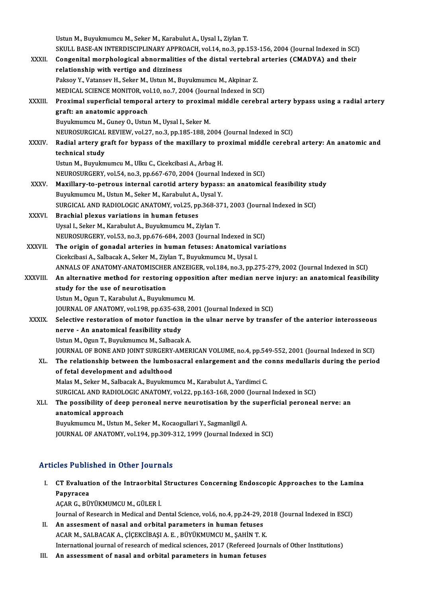|               | Ustun M., Buyukmumcu M., Seker M., Karabulut A., Uysal I., Ziylan T.                                 |
|---------------|------------------------------------------------------------------------------------------------------|
|               | SKULL BASE-AN INTERDISCIPLINARY APPROACH, vol.14, no.3, pp.153-156, 2004 (Journal Indexed in SCI)    |
| XXXII.        | Congenital morphological abnormalities of the distal vertebral arteries (CMADVA) and their           |
|               | relationship with vertigo and dizziness                                                              |
|               | Paksoy Y., Vatansev H., Seker M., Ustun M., Buyukmumcu M., Akpinar Z.                                |
|               | MEDICAL SCIENCE MONITOR, vol.10, no.7, 2004 (Journal Indexed in SCI)                                 |
| XXXIII.       | Proximal superficial temporal artery to proximal middle cerebral artery bypass using a radial artery |
|               | graft: an anatomic approach                                                                          |
|               | Buyukmumcu M., Guney O., Ustun M., Uysal I., Seker M.                                                |
|               | NEUROSURGICAL REVIEW, vol.27, no.3, pp.185-188, 2004 (Journal Indexed in SCI)                        |
| <b>XXXIV</b>  | Radial artery graft for bypass of the maxillary to proximal middle cerebral artery: An anatomic and  |
|               | technical study                                                                                      |
|               | Ustun M., Buyukmumcu M., Ulku C., Cicekcibasi A., Arbag H.                                           |
|               | NEUROSURGERY, vol.54, no.3, pp.667-670, 2004 (Journal Indexed in SCI)                                |
| <b>XXXV</b>   | Maxillary-to-petrous internal carotid artery bypass: an anatomical feasibility study                 |
|               | Buyukmumcu M., Ustun M., Seker M., Karabulut A., Uysal Y.                                            |
|               | SURGICAL AND RADIOLOGIC ANATOMY, vol.25, pp.368-371, 2003 (Journal Indexed in SCI)                   |
| XXXVI.        | Brachial plexus variations in human fetuses                                                          |
|               | Uysal I., Seker M., Karabulut A., Buyukmumcu M., Ziylan T.                                           |
|               | NEUROSURGERY, vol.53, no.3, pp.676-684, 2003 (Journal Indexed in SCI)                                |
| <b>XXXVII</b> | The origin of gonadal arteries in human fetuses: Anatomical variations                               |
|               | Cicekcibasi A., Salbacak A., Seker M., Ziylan T., Buyukmumcu M., Uysal I.                            |
|               | ANNALS OF ANATOMY-ANATOMISCHER ANZEIGER, vol.184, no.3, pp.275-279, 2002 (Journal Indexed in SCI)    |
| XXXVIII.      | An alternative method for restoring opposition after median nerve injury: an anatomical feasibility  |
|               | study for the use of neurotisation                                                                   |
|               | Ustun M., Ogun T., Karabulut A., Buyukmumcu M.                                                       |
|               | JOURNAL OF ANATOMY, vol.198, pp.635-638, 2001 (Journal Indexed in SCI)                               |
| <b>XXXIX</b>  | Selective restoration of motor function in the ulnar nerve by transfer of the anterior interosseous  |
|               | nerve - An anatomical feasibility study                                                              |
|               | Ustun M., Ogun T., Buyukmumcu M., Salbacak A.                                                        |
|               | JOURNAL OF BONE AND JOINT SURGERY-AMERICAN VOLUME, no.4, pp.549-552, 2001 (Journal Indexed in SCI)   |
| XL.           | The relationship between the lumbosacral enlargement and the conns medullaris during the period      |
|               | of fetal development and adulthood                                                                   |
|               | Malas M., Seker M., Salbacak A., Buyukmumcu M., Karabulut A., Yardimci C.                            |
|               | SURGICAL AND RADIOLOGIC ANATOMY, vol.22, pp.163-168, 2000 (Journal Indexed in SCI)                   |
| XLI.          | The possibility of deep peroneal nerve neurotisation by the superficial peroneal nerve: an           |
|               | anatomical approach                                                                                  |
|               | Buyukmumcu M., Ustun M., Seker M., Kocaogullari Y., Sagmanligil A.                                   |
|               | JOURNAL OF ANATOMY, vol.194, pp.309-312, 1999 (Journal Indexed in SCI)                               |
|               |                                                                                                      |

### Articles Published in Other Journals

- rticles Published in Other Journals<br>I. CT Evaluation of the Intraorbital Structures Concerning Endoscopic Approaches to the Lamina ELES I WEIR<br>CT Evaluati<br>Papyracea CT Evaluation of the Intraorbital<br>Papyracea<br>AÇAR G., BÜYÜKMUMCU M., GÜLER İ.<br>Journal of Pessarsh in Medisel and D Papyracea<br>AÇAR G., BÜYÜKMUMCU M., GÜLER İ.<br>Journal of Research in Medical and Dental Science, vol.6, no.4, pp.24-29, 2018 (Journal Indexed in ESCI)
	-

- II. An assesment of nasal and orbital parameters in human fetuses ACAR M., SALBACAK A., ÇİÇEKCİBAŞI A. E., BÜYÜKMUMCU M., ŞAHİN T. K. International journal of research of medical sciences, 2017 (Refereed Journals of Other Institutions)
- III. An assessment of nasal and orbital parameters in human fetuses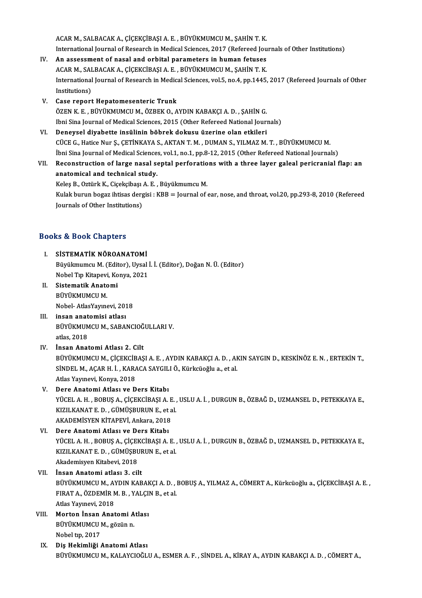ACAR M., SALBACAK A., ÇİÇEKÇİBAŞI A. E. , BÜYÜKMUMCU M., ŞAHİN T. K.<br>International Journal of Bessereb in Medical Sciences, 2017, (Befersed Jeu ACAR M., SALBACAK A., ÇİÇEKÇİBAŞI A. E. , BÜYÜKMUMCU M., ŞAHİN T. K.<br>International Journal of Research in Medical Sciences, 2017 (Refereed Journals of Other Institutions)<br>An assessment of nasal and onbital nanamatare in bu ACAR M., SALBACAK A., ÇİÇEKÇİBAŞI A. E., BÜYÜKMUMCU M., ŞAHİN T. K.<br>International Journal of Research in Medical Sciences, 2017 (Refereed Journal<br>IV. An assessment of nasal and orbital parameters in human fetuses

- International Journal of Research in Medical Sciences, 2017 (Refereed Jou<br>An assessment of nasal and orbital parameters in human fetuses<br>ACAR M., SALBACAK A., ÇİÇEKCİBAŞI A. E. , BÜYÜKMUMCU M., ŞAHİN T. K.<br>International Jo IV. An assessment of nasal and orbital parameters in human fetuses<br>ACAR M., SALBACAK A., ÇİÇEKCİBAŞI A. E. , BÜYÜKMUMCU M., ŞAHİN T. K.<br>International Journal of Research in Medical Sciences, vol.5, no.4, pp.1445, 2017 (Ref ACAR M., SALBACAK A., CICEKCIBAŞI A. E., BÜYÜKMUMCU M., ŞAHİN T. K.
- V. Case report Hepatomesenteric Trunk ÖZEN K.E., BÜYÜKMUMCU M., ÖZBEK O., AYDIN KABAKÇI A.D., ŞAHİN G. Ibni Sina Journal of Medical Sciences, 2015 (Other Refereed National Journals)
- VI. Deneysel diyabette insülinin böbrek dokusu üzerine olan etkileri CÜCE G., Hatice Nur Ş., ÇETİNKAYA S., AKTAN T. M., DUMAN S., YILMAZ M. T., BÜYÜKMUMCU M. İbni Sina Journal of Medical Sciences, vol.1, no.1, pp.8-12, 2015 (Other Refereed National Journals) CÜCE G., Hatice Nur Ş., ÇETİNKAYA S., AKTAN T. M. , DUMAN S., YILMAZ M. T. , BÜYÜKMUMCU M.<br>İbni Sina Journal of Medical Sciences, vol.1, no.1, pp.8-12, 2015 (Other Refereed National Journals)<br>VII. Reconstruction of large n
- anatomical and technical study. Reconstruction of large nasal septal perforatio<br>anatomical and technical study.<br>Keleş B., Oztürk K., Ciçekçibaşı A. E. , Büyükmumcu M.<br>Kulak hunun bogaz ihtisas dargisi : KBB – Jaurnal of s Keleş B., Oztürk K., Ciçekçibaşı A. E., Büyükmumcu M.

Kulak burun bogaz ihtisas dergisi : KBB = Journal of ear, nose, and throat, vol.20, pp.293-8, 2010 (Refereed Journals of Other Institutions)

### Books&Book Chapters

- ooks & Book Chapters<br>I. SİSTEMATİK NÖROANATOMİ<br>Rüvülmumcu M (Editor) Hycel Büyükmumcu M. (Editor), Uysal İ. İ. (Editor), Doğan N. Ü. (Editor) SİSTEMATİK NÖROANATOMİ<br>Büyükmumcu M. (Editor), Uysal İ<br>Nobel Tıp Kitapevi, Konya, 2021<br>Sistematik Anatomi Nobel Tıp Kitapevi, Konya, 2021
- II. Sistematik Anatomi<br>BÜYÜKMUMCU M. Nobel-AtlasYayınevi,2018
- III. insan anatomisi atlası BÜYÜKMUMCUM.,SABANCIOĞULLARIV. atlas,2018
- IV. İnsan Anatomi Atlası 2. Cilt atlas, 2018<br>İnsan Anatomi Atlası 2. Cilt<br>BÜYÜKMUMCU M., ÇİÇEKCİBAŞI A. E. , AYDIN KABAKÇI A. D. , AKIN SAYGIN D., KESKİNÖZ E. N. , ERTEKİN T.,<br>SİNDEL M. AÇAR H. İ., KARAÇA SAYÇU LÖ, Kürkgüçğeye e. st.ol İnsan Anatomi Atlası 2. Cilt<br>BÜYÜKMUMCU M., ÇİÇEKCİBAŞI A. E. , AYDIN KABAKÇI A. D. , AH<br>SİNDEL M., AÇAR H. İ. , KARACA SAYGILI Ö., Kürkcüoğlu a., et al.<br>Atlas Yayınsıyi, Kanım 2013 BÜYÜKMUMCU M., ÇİÇEKCİB<br>SİNDEL M., AÇAR H. İ. , KARA<br>Atlas Yayınevi, Konya, 2018<br>Pere Anaterni Atlası ve P SİNDEL M., AÇAR H. İ. , KARACA SAYGILI Ö., Kürkcüoğlu a., et al.<br>Atlas Yayınevi, Konya, 2018<br>V. Dere Anatomi Atlası ve Ders Kitabı
- Atlas Yayınevi, Konya, 2018<br>Dere Anatomi Atlası ve Ders Kitabı<br>YÜCEL A. H. , BOBUŞ A., ÇİÇEKCİBAŞI A. E. , USLU A. İ. , DURGUN B., ÖZBAĞ D., UZMANSEL D., PETEKKAYA E.,<br>KIZU KANAT E. D., ÇÜMÜSPUPUN E. et al Dere Anatomi Atlası ve Ders Kitabı<br>YÜCEL A. H. , BOBUŞ A., ÇİÇEKCİBAŞI A. E. ,<br>KIZILKANAT E. D. , GÜMÜŞBURUN E., et al.<br>AKADEMİSVEN KİTABEVİ Apkara, 2019 YÜCEL A. H. , BOBUŞ A., ÇİÇEKCİBAŞI A. E<br>KIZILKANAT E. D. , GÜMÜŞBURUN E., et a<br>AKADEMİSYEN KİTAPEVİ, Ankara, 2018<br>Para Anatomi Atlası ve Para Kitabı KIZILKANAT E. D. , GÜMÜŞBURUN E., et al.<br>AKADEMİSYEN KİTAPEVİ, Ankara, 2018<br>VI. Dere Anatomi Atlası ve Ders Kitabı
- AKADEMİSYEN KİTAPEVİ, Ankara, 2018<br>Dere Anatomi Atlası ve Ders Kitabı<br>YÜCEL A. H. , BOBUŞ A., ÇİÇEKCİBAŞI A. E. , USLU A. İ. , DURGUN B., ÖZBAĞ D., UZMANSEL D., PETEKKAYA E.,<br>KIZU KANAT E. D., ÇÜMÜSPUPUN E. et al Dere Anatomi Atlası ve Ders Kitabı<br>YÜCEL A. H. , BOBUŞ A., ÇİÇEKCİBAŞI A. E. ,<br>KIZILKANAT E. D. , GÜMÜŞBURUN E., et al.<br>Akademişyen Kitabeyi 2018 YÜCEL A. H. , BOBUŞ A., ÇİÇEI<br>KIZILKANAT E. D. , GÜMÜŞBU<br>Akademisyen Kitabevi, 2018<br>İnsan Anatami atlası 3. sil KIZILKANAT E. D. , GÜMÜŞBURUN E., et al.<br>Akademisyen Kitabevi, 2018<br>VII. İnsan Anatomi atlası 3. cilt
- BÜYÜKMUMCU M., AYDIN KABAKÇI A. D., BOBUŞ A., YILMAZ A., CÖMERT A., Kürkcüoğlu a., ÇİÇEKCİBAŞI A. E., FIRATA.,ÖZDEMİRM.B. ,YALÇINB.,etal. BÜYÜKMUMCU M., AY<br>FIRAT A., ÖZDEMİR M<br>Atlas Yayınevi, 2018<br>Morton İnsan, Anat Atlas Yayınevi, 2018<br>VIII. Morton İnsan Anatomi Atlası
- Atlas Yayınevi, 2018<br>Morton İnsan Anatomi A<br>BÜYÜKMUMCU M., gözün n.<br>Nebel tın 2017 Morton İnsan<br>BÜYÜKMUMCU I<br>Nobel tıp, 2017<br>Dia Hokimliži
- IX. Diş Hekimliği Anatomi Atlası BÜYÜKMUMCUM.,KALAYCIOĞLUA.,ESMERA.F. ,SİNDELA.,KİRAYA.,AYDINKABAKÇIA.D. ,CÖMERTA.,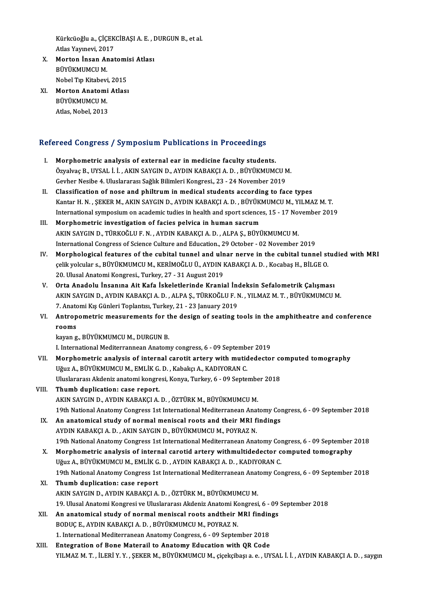Kürkcüoğlu a., ÇİÇEKCİBAŞI A. E. , DURGUN B., et al.<br>Atlas Yayınsvi, 2017 Kürkcüoğlu a., ÇİÇEK<br>Atlas Yayınevi, 2017<br>Morton İnsan Anat Kürkcüoğlu a., ÇİÇEKCİBAŞI A. E. , I<br>Atlas Yayınevi, 2017<br>X. Morton İnsan Anatomisi Atlası

- Atlas Yayınevi, 2017<br>X. Morton İnsan Anatomisi Atlası<br>BÜYÜKMUMCU M. Morton İnsan Anatomi<br>BÜYÜKMUMCU M.<br>Nobel Tıp Kitabevi, 2015<br>Morton Anatomi Atlası BÜYÜKMUMCU M.<br>Nobel Tıp Kitabevi, 2015<br>XI. Morton Anatomi Atlası<br>PÜYÜKMUMCU M
- Nobel Tıp Kitabevi<br>**Morton Anatomi**<br>BÜYÜKMUMCU M.<br>Atlas Nobel 2012 Morton Anatomi<br>BÜYÜKMUMCU M.<br>Atlas, Nobel, 2013

# Auas, Nobel, 2013<br>Refereed Congress / Symposium Publications in Proceedings

- efereed Congress / Symposium Publications in Proceedings<br>I. Morphometric analysis of external ear in medicine faculty students.<br>Omelies B. UYSALLL AKIN SAYCIN D. AYDIN KARAKCLA D. PÜVÜKMUM Norphometric analysis of external ear in medicine faculty students.<br>Özyalvaç B., UYSAL İ. İ. , AKIN SAYGIN D., AYDIN KABAKÇI A. D. , BÜYÜKMUMCU M.<br>Ceyber Negibe 4. Uluslararası Sağlık Bilimleri Kargresi, 22, 24 Nevember 20 Morphometric analysis of external ear in medicine faculty students.<br>Özyalvaç B., UYSAL İ. İ. , AKIN SAYGIN D., AYDIN KABAKÇI A. D. , BÜYÜKMUMCU N<br>Gevher Nesibe 4. Uluslararası Sağlık Bilimleri Kongresi., 23 - 24 November 2
- Gevher Nesibe 4. Uluslararası Sağlık Bilimleri Kongresi., 23 24 November 2019<br>II. Classification of nose and philtrum in medical students according to face types Gevher Nesibe 4. Uluslararası Sağlık Bilimleri Kongresi., 23 - 24 November 2019<br>Classification of nose and philtrum in medical students according to face types<br>Kantar H. N. , ŞEKER M., AKIN SAYGIN D., AYDIN KABAKÇI A. D. , Classification of nose and philtrum in medical students according to face types<br>Kantar H. N. , ŞEKER M., AKIN SAYGIN D., AYDIN KABAKÇI A. D. , BÜYÜKMUMCU M., YILMAZ M. T.<br>International symposium on academic tudies in healt Kantar H. N., ŞEKER M., AKIN SAYGIN D., AYDIN KABAKÇI A. D., BÜYÜKI<br>International symposium on academic tudies in health and sport science<br>III. Morphometric investigation of facies pelvica in human sacrum<br>AKIN SAYGIN D. TÜ
- International symposium on academic tudies in health and sport sciences, 15 17 November 2019<br>Morphometric investigation of facies pelvica in human sacrum<br>AKIN SAYGIN D., TÜRKOĞLU F. N. , AYDIN KABAKÇI A. D. , ALPA Ş., BÜ International Congress of Science Culture and Education., 29 October - 02 November 2019
- IV. Morphological features of the cubital tunnel and ulnar nerve in the cubital tunnel studied with MRI International Congress of Science Culture and Education., 29 October - 02 November 2019<br>Morphological features of the cubital tunnel and ulnar nerve in the cubital tunnel st<br>çelik yolcular s., BÜYÜKMUMCU M., KERİMOĞLU Ü., Morphological features of the cubital tunnel and uln<br>çelik yolcular s., BÜYÜKMUMCU M., KERİMOĞLU Ü., AYDIN I<br>20. Ulusal Anatomi Kongresi., Turkey, 27 - 31 August 2019<br>Orta Anadolu İnsanına Ait Kafa İskalatlarında Kranis
- V. Orta Anadolu İnsanına Ait Kafa İskeletlerinde Kranial İndeksin Sefalometrik Çalışması 20. Ulusal Anatomi Kongresi., Turkey, 27 - 31 August 2019<br>Orta Anadolu İnsanına Ait Kafa İskeletlerinde Kranial İndeksin Sefalometrik Çalışması<br>AKIN SAYGIN D., AYDIN KABAKÇI A. D. , ALPA Ş., TÜRKOĞLU F. N. , YILMAZ M. T. , Orta Anadolu İnsanına Ait Kafa İskeletlerinde Kranial İnd<br>AKIN SAYGIN D., AYDIN KABAKÇI A. D., ALPA Ş., TÜRKOĞLU F. M<br>7. Anatomi Kış Günleri Toplantısı, Turkey, 21 - 23 January 2019<br>Antronometris measurements for the desig AKIN SAYGIN D., AYDIN KABAKÇI A. D., ALPA Ş., TÜRKOĞLU F. N., YILMAZ M. T., BÜYÜKMUMCU M.<br>7. Anatomi Kış Günleri Toplantısı, Turkey, 21 - 23 January 2019<br>VI. Antropometric measurements for the design of seating tools i
- 7. Anatomi Kış Günleri Toplantısı, Turkey, 21 23 January 2019<br>VI. Antropometric measurements for the design of seating tools in the amphitheatre and conference<br>rooms rooms<br>kayan g., BÜYÜKMUMCU M., DURGUN B.<br>I. International Mediterrannean Anatomy congress, 6 - 09 September 2019<br>Monnhometris analysis of internal senstit artory with mutidedeste:

kayang, BÜYÜKMUMCU M., DURGUN B.

- kayan g., BÜYÜKMUMCU M., DURGUN B.<br>I. International Mediterrannean Anatomy congress, 6 09 September 2019<br>VII. Morphometric analysis of internal carotit artery with mutidedector computed tomography<br>U<sup>2</sup>.,,,,,,,,,,,,,,,,,, I. International Mediterrannean Anatomy congress, 6 - 09 September<br>Morphometric analysis of internal carotit artery with mutic<br>Uğuz A., BÜYÜKMUMCU M., EMLİK G. D. , Kabakçı A., KADIYORAN C.<br>Uluslarance Aldenir anatomi kong Morphometric analysis of internal carotit artery with mutidedector contains and the Millislary of September 20<br>Uğuz A., BÜYÜKMUMCU M., EMLİK G. D. , Kabakçı A., KADIYORAN C.<br>Uluslararası Akdeniz anatomi kongresi, Konya, Tu Uğuz A., BÜYÜKMUMCU M., EMLİK G. D. , Kabakçı A., KADIYORAN C.<br>Uluslararası Akdeniz anatomi kongresi, Konya, Turkey, 6 - 09 September 2018<br>VIII. Thumb duplication: case report.
- AKIN SAYGIN D., AYDIN KABAKÇI A. D., ÖZTÜRK M., BÜYÜKMUMCU M. Thumb duplication: case report.<br>AKIN SAYGIN D., AYDIN KABAKÇI A. D. , ÖZTÜRK M., BÜYÜKMUMCU M.<br>19th National Anatomy Congress 1st International Mediterranean Anatomy Congress, 6 - 09 September 2018<br>An anatomisel study of n AKIN SAYGIN D., AYDIN KABAKÇI A. D., ÖZTÜRK M., BÜYÜKMUMCU M.<br>19th National Anatomy Congress 1st International Mediterranean Anatomy Contains IX.<br>IX. An anatomical study of normal meniscal roots and their MRI findings<br>AYDI
- IX. An anatomical study of normal meniscal roots and their MRI findings<br>AYDIN KABAKÇI A. D., AKIN SAYGIN D., BÜYÜKMUMCU M., POYRAZ N. 19th National Anatomy Congress 1st International Mediterranean Anatomy Congress, 6 - 09 September 2018
- X. Morphometric analysis of internal carotid artery withmultidedector computed tomography UğuzA.,BÜYÜKMUMCUM.,EMLİKG.D. ,AYDINKABAKÇIA.D. ,KADIYORANC. 19th National Anatomy Congress 1st International Mediterranean Anatomy Congress, 6 - 09 September 2018
- XI. Thumb duplication: case report AKIN SAYGIN D., AYDIN KABAKÇI A. D., ÖZTÜRK M., BÜYÜKMUMCU M. Thumb duplication: case report<br>AKIN SAYGIN D., AYDIN KABAKÇI A. D. , ÖZTÜRK M., BÜYÜKMUMCU M.<br>19. Ulusal Anatomi Kongresi ve Uluslararası Akdeniz Anatomi Kongresi, 6 - 09 September 2018<br>An anatomisal study of normal moniss AKIN SAYGIN D., AYDIN KABAKÇI A. D. , ÖZTÜRK M., BÜYÜKMUMCU M.<br>19. Ulusal Anatomi Kongresi ve Uluslararası Akdeniz Anatomi Kongresi, 6 - 09<br>XII. An anatomical study of normal meniscal roots andtheir MRI findings<br>PODUCE
- An anatomical study of normal meniscal roots and their MRI findings BODUC E., AYDIN KABAKÇI A. D., BÜYÜKMUMCU M., POYRAZ N. An anatomical study of normal meniscal roots andtheir MRI findin<br>BODUÇ E., AYDIN KABAKÇI A. D. , BÜYÜKMUMCU M., POYRAZ N.<br>1. International Mediterranean Anatomy Congress, 6 - 09 September 2018<br>Entegration of Bone Materail BODUÇ E., AYDIN KABAKÇI A. D., BÜYÜKMUMCU M., POYRAZ N.<br>1. International Mediterranean Anatomy Congress, 6 - 09 September 2018<br>XIII. Entegration of Bone Materail to Anatomy Education with QR Code<br>XIII. Entegration of Bone
- Entegration of Bone Materail to Anatomy Education with QR Code<br>YILMAZ M. T. , İLERİ Y. Y. , ŞEKER M., BÜYÜKMUMCU M., çiçekçibaşı a. e. , UYSAL İ. İ. , AYDIN KABAKÇI A. D. , saygın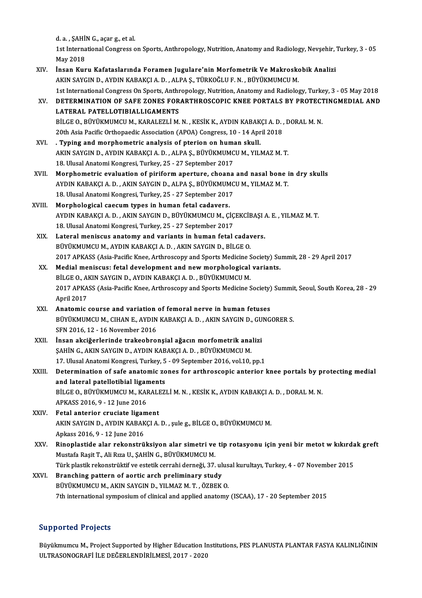d. a. , ŞAHİN G., açar g., et al.<br>1st International Congress e

1st International Congress on Sports, Anthropology, Nutrition, Anatomy and Radiology, Nevşehir, Turkey, 3 - 05<br>May 2018 d. a. , ŞAHİ!<br>1st Interna<br>May 2018<br>İncen Kur 1st International Congress on Sports, Anthropology, Nutrition, Anatomy and Radiology, Nevşehir, '<br>May 2018<br>XIV. İnsan Kuru Kafataslarında Foramen Jugulare'nin Morfometrik Ve Makroskobik Analizi

- May 2018<br>İnsan Kuru Kafataslarında Foramen Jugulare'nin Morfometrik Ve Makrosko<br>AKIN SAYGIN D., AYDIN KABAKÇI A.D., ALPA Ş., TÜRKOĞLU F. N., BÜYÜKMUMCU M.<br>1st International Congress On Sports, Arthronology, Nutrition, Anat 1st International Congress On Sports, ALPA Ş., TÜRKOĞLU F. N. , BÜYÜKMUMCU M.<br>1st International Congress On Sports, Anthropology, Nutrition, Anatomy and Radiology, Turkey, 3 - 05 May 2018 AKIN SAYGIN D., AYDIN KABAKÇI A. D. , ALPA Ş., TÜRKOĞLU F. N. , BÜYÜKMUMCU M.<br>1st International Congress On Sports, Anthropology, Nutrition, Anatomy and Radiology, Turkey, 3 - 05 May 2018<br>2018 - I ATERAINATION OF SAFE ZONE
- 1st International Congress On Sports, Anthr<br>DETERMINATION OF SAFE ZONES FOR<br>LATERAL PATELLOTIBIALLIGAMENTS<br>PUCE O PUVUVMUMCUM KARALEZLI M DETERMINATION OF SAFE ZONES FORARTHROSCOPIC KNEE PORTALS BY PROTECT<br>LATERAL PATELLOTIBIALLIGAMENTS<br>BİLGE O., BÜYÜKMUMCU M., KARALEZLİ M. N. , KESİK K., AYDIN KABAKÇI A. D. , DORAL M. N.<br>20th Asia Basifis Orthopasdis Assosi LATERAL PATELLOTIBIALLIGAMENTS<br>BİLGE O., BÜYÜKMUMCU M., KARALEZLİ M. N. , KESİK K., AYDIN KABAKÇI A. D. ,<br>20th Asia Pacific Orthopaedic Association (APOA) Congress, 10 - 14 April 2018<br>Tuning and marnhametris analysis of pt
- BILGE O., BÜYÜKMUMCU M., KARALEZLİ M. N., KESİK K., AYDIN KABAK<br>20th Asia Pacific Orthopaedic Association (APOA) Congress, 10 14 Apr<br>XVI. . Typing and morphometric analysis of pterion on human skull.<br>AKIN SAYCIN D. AYDIN 20th Asia Pacific Orthopaedic Association (APOA) Congress, 10 - 14 April 2018<br>**Typing and morphometric analysis of pterion on human skull.**<br>AKIN SAYGIN D., AYDIN KABAKÇI A. D., ALPA Ş., BÜYÜKMUMCU M., YILMAZ M. T.<br>18 Uluce 1. Typing and morphometric analysis of pterion on human<br>AKIN SAYGIN D., AYDIN KABAKÇI A. D. , ALPA Ş., BÜYÜKMUMC<br>18. Ulusal Anatomi Kongresi, Turkey, 25 - 27 September 2017<br>Mannhamatria avaluation of nirifarm anartura, sha AKIN SAYGIN D., AYDIN KABAKÇI A. D., ALPA Ş., BÜYÜKMUMCU M., YILMAZ M. T.<br>18. Ulusal Anatomi Kongresi, Turkey, 25 - 27 September 2017<br>XVII. Morphometric evaluation of piriform aperture, choana and nasal bone in dry skulls<br>
- 18. Ulusal Anatomi Kongresi, Turkey, 25 27 September 2017<br>Morphometric evaluation of piriform aperture, choana and nasal bone i<br>AYDIN KABAKÇI A. D. , AKIN SAYGIN D., ALPA Ş., BÜYÜKMUMCU M., YILMAZ M. T.<br>18. Ulusal Anatom Morphometric evaluation of piriform aperture, choana<br>AYDIN KABAKÇI A. D. , AKIN SAYGIN D., ALPA Ş., BÜYÜKMUMC<br>18. Ulusal Anatomi Kongresi, Turkey, 25 - 27 September 2017<br>Mannhalagisal saasum tunas in buman fatal sadayara AYDIN KABAKÇI A. D. , AKIN SAYGIN D., ALPA Ş., BÜYÜKMUMCU M., YILMAZ M. T.<br>18. Ulusal Anatomi Kongresi, Turkey, 25 - 27 September 2017<br>XVIII. Morphological caecum types in human fetal cadavers.
- AYDINKABAKÇIA.D. ,AKINSAYGIND.,BÜYÜKMUMCUM.,ÇİÇEKCİBAŞIA.E. ,YILMAZM.T. 18.UlusalAnatomiKongresi,Turkey,25 -27 September 2017 AYDIN KABAKÇI A. D., AKIN SAYGIN D., BÜYÜKMUMCU M., ÇİÇEKCİBAŞI <br>18. Ulusal Anatomi Kongresi, Turkey, 25 - 27 September 2017<br>XIX. Lateral meniscus anatomy and variants in human fetal cadavers.
- 18. Ulusal Anatomi Kongresi, Turkey, 25 27 September 2017<br>Lateral meniscus anatomy and variants in human fetal caday<br>BÜYÜKMUMCU M., AYDIN KABAKÇI A. D. , AKIN SAYGIN D., BİLGE O.<br>2017 ARKASS (Asia Basifis Knee, Arthresse BÜYÜKMUMCU M., AYDIN KABAKÇI A. D. , AKIN SAYGIN D., BİLGE O.<br>2017 APKASS (Asia-Pacific Knee, Arthroscopy and Sports Medicine Society) Summit, 28 - 29 April 2017 BÜYÜKMUMCU M., AYDIN KABAKÇI A. D., AKIN SAYGIN D., BİLGE O.<br>2017 APKASS (Asia-Pacific Knee, Arthroscopy and Sports Medicine Society) Su<br>XX. Medial meniscus: fetal development and new morphological variants.<br>PUCE O. AKIN S
- 2017 APKASS (Asia-Pacific Knee, Arthroscopy and Sports Medicine S<br>Medial meniscus: fetal development and new morphological<br>BİLGE O., AKIN SAYGIN D., AYDIN KABAKÇI A. D. , BÜYÜKMUMCU M.<br>2017 ABKASS (Asia Basific Knee, Arthr 2017 APKASS (Asia-Pacific Knee, Arthroscopy and Sports Medicine Society) Summit, Seoul, South Korea, 28 - 29<br>April 2017 BİLGE O., AKIN SAYGIN D., AYDIN KABAKÇI A. D., BÜYÜKMUMCU M. 2017 APKASS (Asia-Pacific Knee, Arthroscopy and Sports Medicine Society)<br>April 2017<br>XXI. Anatomic course and variation of femoral nerve in human fetuses<br>PUVULMIMCUM CUANE AVPIN KARAKCLA DAAKUN SAVCIN D. CUNC
- BÜYÜKMUMCU M., CIHAN E., AYDIN KABAKÇI A. D. , AKIN SAYGIN D., GUNGORER S.<br>SFN 2016, 12 16 November 2016 Anatomic course and variation<br>BÜYÜKMUMCU M., CIHAN E., AYDIN<br>SFN 2016, 12 - 16 November 2016<br>Insen aksižerlerinde traksebre: BÜYÜKMUMCU M., CIHAN E., AYDIN KABAKÇI A. D., AKIN SAYGIN D., GU<br>SFN 2016, 12 - 16 November 2016<br>XXII. İnsan akciğerlerinde trakeobronşial ağacın morfometrik analizi<br>SAHİN G. AKIN SAYCIN D. AYDIN KABAKÇI A. D. BÜYÜKMUMCU M
- SFN 2016, 12 16 November 2016<br>İnsan akciğerlerinde trakeobronşial ağacın morfometrik ana<br>ŞAHİN G., AKIN SAYGIN D., AYDIN KABAKÇI A. D. , BÜYÜKMUMCU M.<br>17 Hlusel Anatomi Kongresi Turkey, 5 , 99 Sentember 2016, vel 10 İnsan akciğerlerinde trakeobronşial ağacın morfometrik analizi<br>ŞAHİN G., AKIN SAYGIN D., AYDIN KABAKÇI A. D. , BÜYÜKMUMCU M.<br>17. Ulusal Anatomi Kongresi, Turkey, 5 - 09 September 2016, vol.10, pp.1<br>Determination of safe an
- SAHIN G., AKIN SAYGIN D., AYDIN KABAKÇI A. D. , BÜYÜKMUMCU M.<br>17. Ulusal Anatomi Kongresi, Turkey, 5 09 September 2016, vol.10, pp.1<br>XXIII. Determination of safe anatomic zones for arthroscopic anterior knee portals 17. Ulusal Anatomi Kongresi, Turkey, 5<br>Determination of safe anatomic zo<br>and lateral patellotibial ligaments<br>PUCEO PÜVÜYMUMCU M. KARALEZ Determination of safe anatomic zones for arthroscopic anterior knee portals by p<br>and lateral patellotibial ligaments<br>BİLGE O., BÜYÜKMUMCU M., KARALEZLİ M. N. , KESİK K., AYDIN KABAKÇI A. D. , DORAL M. N.<br>APKASS 2016 O. .12 and lateral patellotibial ligar<br>BİLGE O., BÜYÜKMUMCU M., KAI<br>APKASS 2016, 9 - 12 June 2016<br>Estal antariar anusiata lisam
- APKASS 2016, 9 12 June 2016<br>XXIV. Fetal anterior cruciate ligament APKASS 2016, 9 - 12 June 2016<br>Fetal anterior cruciate ligament<br>AKIN SAYGIN D., AYDIN KABAKÇI A. D. , şule g., BİLGE O., BÜYÜKMUMCU M.<br>Ankass 2016, 9 - 12 June 2016 Fetal anterior cruciate ligan<br>AKIN SAYGIN D., AYDIN KABAK<br>Apkass 2016, 9 - 12 June 2016<br>Binoplastide alar rekonstrü
- XXV. Rinoplastide alar rekonstrüksiyon alar simetri ve tip rotasyonu için yeni bir metotwkıkırdak greft Mustafa Raşit T., Ali Rıza U., ŞAHİN G., BÜYÜKMUMCU M. Rinoplastide alar rekonstrüksiyon alar simetri ve tip rotasyonu için yeni bir metot w kıkırda<br>Mustafa Raşit T., Ali Rıza U., ŞAHİN G., BÜYÜKMUMCU M.<br>Türk plastik rekonstrüktif ve estetik cerrahi derneği, 37. ulusal kurulta Mustafa Raşit T., Ali Rıza U., ŞAHİN G., BÜYÜKMUMCU M.<br>Türk plastik rekonstrüktif ve estetik cerrahi derneği, 37. ul<br>XXVI. Branching pattern of aortic arch preliminary study<br>PÜYÜKMUMCU M. AKIN SAYCIN D. YU MAZ M.T. ÖZPEK
- Türk plastik rekonstrüktif ve estetik cerrahi derneği, 37. ulus<br>Branching pattern of aortic arch preliminary study<br>BÜYÜKMUMCU M., AKIN SAYGIN D., YILMAZ M.T. , ÖZBEK O.<br>7th international sumnesium of clinical and annlied a 8ranching pattern of aortic arch preliminary study<br>BÜYÜKMUMCU M., AKIN SAYGIN D., YILMAZ M. T. , ÖZBEK O.<br>7th international symposium of clinical and applied anatomy (ISCAA), 17 - 20 September 2015

### Supported Projects

Büyükmumcu M., Project Supported by Higher Education Institutions, PES PLANUSTA PLANTAR FASYA KALINLIĞININ ULTRASONOGRAFİ İLEDEĞERLENDİRİLMESİ,2017 -2020